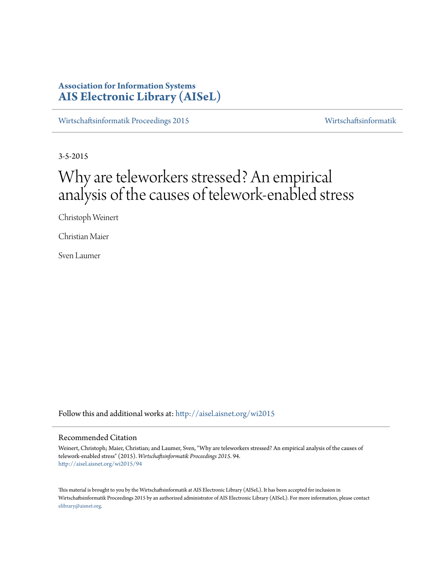# **Association for Information Systems [AIS Electronic Library \(AISeL\)](http://aisel.aisnet.org?utm_source=aisel.aisnet.org%2Fwi2015%2F94&utm_medium=PDF&utm_campaign=PDFCoverPages)**

[Wirtschaftsinformatik Proceedings 2015](http://aisel.aisnet.org/wi2015?utm_source=aisel.aisnet.org%2Fwi2015%2F94&utm_medium=PDF&utm_campaign=PDFCoverPages) [Wirtschaftsinformatik](http://aisel.aisnet.org/wi?utm_source=aisel.aisnet.org%2Fwi2015%2F94&utm_medium=PDF&utm_campaign=PDFCoverPages)

3-5-2015

# Why are teleworkers stressed? An empirical analysis of the causes of telework-enabled stress

Christoph Weinert

Christian Maier

Sven Laumer

Follow this and additional works at: [http://aisel.aisnet.org/wi2015](http://aisel.aisnet.org/wi2015?utm_source=aisel.aisnet.org%2Fwi2015%2F94&utm_medium=PDF&utm_campaign=PDFCoverPages)

#### Recommended Citation

Weinert, Christoph; Maier, Christian; and Laumer, Sven, "Why are teleworkers stressed? An empirical analysis of the causes of telework-enabled stress" (2015). *Wirtschaftsinformatik Proceedings 2015*. 94. [http://aisel.aisnet.org/wi2015/94](http://aisel.aisnet.org/wi2015/94?utm_source=aisel.aisnet.org%2Fwi2015%2F94&utm_medium=PDF&utm_campaign=PDFCoverPages)

This material is brought to you by the Wirtschaftsinformatik at AIS Electronic Library (AISeL). It has been accepted for inclusion in Wirtschaftsinformatik Proceedings 2015 by an authorized administrator of AIS Electronic Library (AISeL). For more information, please contact [elibrary@aisnet.org.](mailto:elibrary@aisnet.org%3E)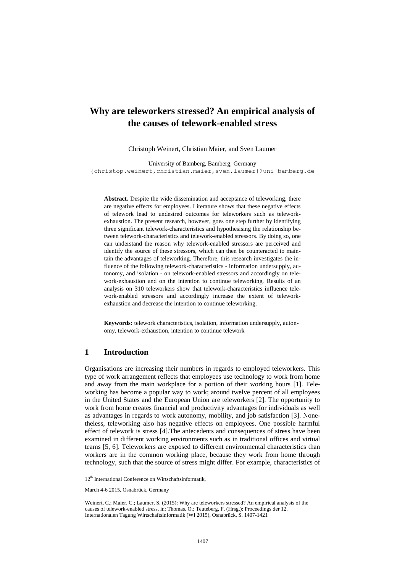# **Why are teleworkers stressed? An empirical analysis of the causes of telework-enabled stress**

Christoph Weinert, Christian Maier, and Sven Laumer

University of Bamberg, Bamberg, Germany {christop.weinert,christian.maier,sven.laumer}@uni-bamberg.de

**Abstract***.* Despite the wide dissemination and acceptance of teleworking, there are negative effects for employees. Literature shows that these negative effects of telework lead to undesired outcomes for teleworkers such as teleworkexhaustion. The present research, however, goes one step further by identifying three significant telework-characteristics and hypothesising the relationship between telework-characteristics and telework-enabled stressors. By doing so, one can understand the reason why telework-enabled stressors are perceived and identify the source of these stressors, which can then be counteracted to maintain the advantages of teleworking. Therefore, this research investigates the influence of the following telework-characteristics - information undersupply, autonomy, and isolation - on telework-enabled stressors and accordingly on telework-exhaustion and on the intention to continue teleworking*.* Results of an analysis on 310 teleworkers show that telework-characteristics influence telework-enabled stressors and accordingly increase the extent of teleworkexhaustion and decrease the intention to continue teleworking.

**Keywords:** telework characteristics, isolation, information undersupply, autonomy, telework-exhaustion, intention to continue telework

## **1 Introduction**

Organisations are increasing their numbers in regards to employed teleworkers. This type of work arrangement reflects that employees use technology to work from home and away from the main workplace for a portion of their working hours [1]. Teleworking has become a popular way to work; around twelve percent of all employees in the United States and the European Union are teleworkers [2]. The opportunity to work from home creates financial and productivity advantages for individuals as well as advantages in regards to work autonomy, mobility, and job satisfaction [3]. Nonetheless, teleworking also has negative effects on employees. One possible harmful effect of telework is stress [4].The antecedents and consequences of stress have been examined in different working environments such as in traditional offices and virtual teams [5, 6]. Teleworkers are exposed to different environmental characteristics than workers are in the common working place, because they work from home through technology, such that the source of stress might differ. For example, characteristics of

12<sup>th</sup> International Conference on Wirtschaftsinformatik,

March 4-6 2015, Osnabrück, Germany

Weinert, C.; Maier, C.; Laumer, S. (2015): Why are teleworkers stressed? An empirical analysis of the causes of telework-enabled stress, in: Thomas. O.; Teuteberg, F. (Hrsg.): Proceedings der 12. Internationalen Tagung Wirtschaftsinformatik (WI 2015), Osnabrück, S. 1407-1421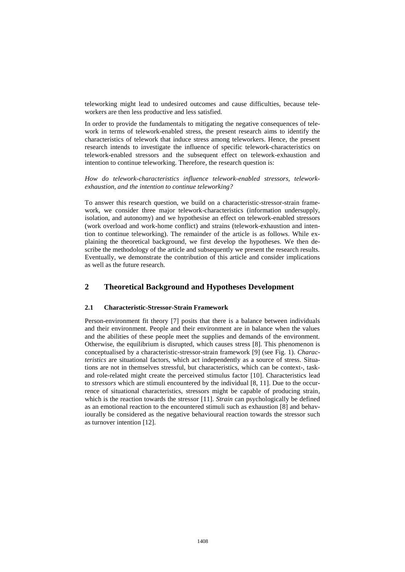teleworking might lead to undesired outcomes and cause difficulties, because teleworkers are then less productive and less satisfied.

In order to provide the fundamentals to mitigating the negative consequences of telework in terms of telework-enabled stress, the present research aims to identify the characteristics of telework that induce stress among teleworkers. Hence, the present research intends to investigate the influence of specific telework-characteristics on telework-enabled stressors and the subsequent effect on telework-exhaustion and intention to continue teleworking. Therefore, the research question is:

*How do telework-characteristics influence telework-enabled stressors, teleworkexhaustion, and the intention to continue teleworking?*

To answer this research question, we build on a characteristic-stressor-strain framework, we consider three major telework-characteristics (information undersupply, isolation, and autonomy) and we hypothesise an effect on telework-enabled stressors (work overload and work-home conflict) and strains (telework-exhaustion and intention to continue teleworking). The remainder of the article is as follows. While explaining the theoretical background, we first develop the hypotheses. We then describe the methodology of the article and subsequently we present the research results. Eventually, we demonstrate the contribution of this article and consider implications as well as the future research.

## **2 Theoretical Background and Hypotheses Development**

#### **2.1 Characteristic-Stressor-Strain Framework**

Person-environment fit theory [7] posits that there is a balance between individuals and their environment. People and their environment are in balance when the values and the abilities of these people meet the supplies and demands of the environment. Otherwise, the equilibrium is disrupted, which causes stress [8]. This phenomenon is conceptualised by a characteristic-stressor-strain framework [9] (see [Fig. 1\)](#page-3-0). *Characteristics* are situational factors, which act independently as a source of stress. Situations are not in themselves stressful, but characteristics, which can be context-, taskand role-related might create the perceived stimulus factor [10]. Characteristics lead to *stressors* which are stimuli encountered by the individual [8, 11]. Due to the occurrence of situational characteristics, stressors might be capable of producing strain, which is the reaction towards the stressor [11]. *Strain* can psychologically be defined as an emotional reaction to the encountered stimuli such as exhaustion [8] and behaviourally be considered as the negative behavioural reaction towards the stressor such as turnover intention [12].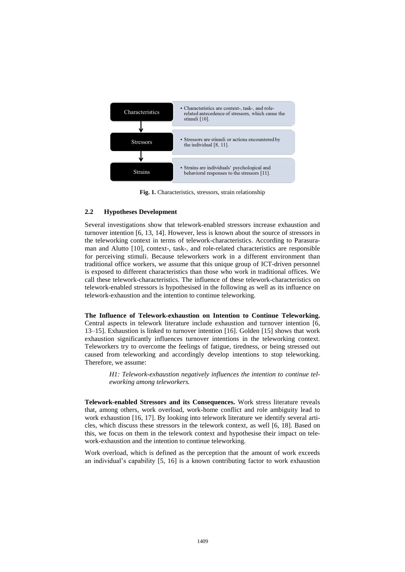

**Fig. 1.** Characteristics, stressors, strain relationship

#### <span id="page-3-0"></span>**2.2 Hypotheses Development**

Several investigations show that telework-enabled stressors increase exhaustion and turnover intention [6, 13, 14]. However, less is known about the source of stressors in the teleworking context in terms of telework-characteristics. According to Parasuraman and Alutto [10], context-, task-, and role-related characteristics are responsible for perceiving stimuli. Because teleworkers work in a different environment than traditional office workers, we assume that this unique group of ICT-driven personnel is exposed to different characteristics than those who work in traditional offices. We call these telework-characteristics. The influence of these telework-characteristics on telework-enabled stressors is hypothesised in the following as well as its influence on telework-exhaustion and the intention to continue teleworking.

**The Influence of Telework-exhaustion on Intention to Continue Teleworking.** Central aspects in telework literature include exhaustion and turnover intention [6, 13–15]. Exhaustion is linked to turnover intention [16]. Golden [15] shows that work exhaustion significantly influences turnover intentions in the teleworking context. Teleworkers try to overcome the feelings of fatigue, tiredness, or being stressed out caused from teleworking and accordingly develop intentions to stop teleworking. Therefore, we assume:

> *H1: Telework-exhaustion negatively influences the intention to continue teleworking among teleworkers.*

**Telework-enabled Stressors and its Consequences.** Work stress literature reveals that, among others, work overload, work-home conflict and role ambiguity lead to work exhaustion [16, 17]. By looking into telework literature we identify several articles, which discuss these stressors in the telework context, as well [6, 18]. Based on this, we focus on them in the telework context and hypothesise their impact on telework-exhaustion and the intention to continue teleworking.

Work overload, which is defined as the perception that the amount of work exceeds an individual's capability [5, 16] is a known contributing factor to work exhaustion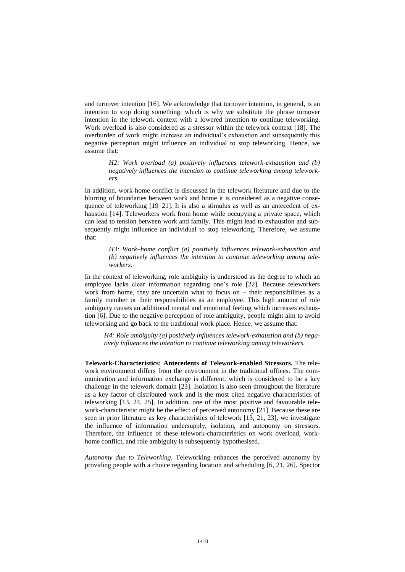and turnover intention [16]. We acknowledge that turnover intention, in general, is an intention to stop doing something, which is why we substitute the phrase turnover intention in the telework context with a lowered intention to continue teleworking. Work overload is also considered as a stressor within the telework context [18]. The overburden of work might increase an individual's exhaustion and subsequently this negative perception might influence an individual to stop teleworking. Hence, we assume that:

> *H2: Work overload (a) positively influences telework-exhaustion and (b) negatively influences the intention to continue teleworking among teleworkers.*

In addition, work-home conflict is discussed in the telework literature and due to the blurring of boundaries between work and home it is considered as a negative consequence of teleworking  $[19-21]$ . It is also a stimulus as well as an antecedent of exhaustion [14]. Teleworkers work from home while occupying a private space, which can lead to tension between work and family. This might lead to exhaustion and subsequently might influence an individual to stop teleworking. Therefore, we assume that:

> *H3: Work–home conflict (a) positively influences telework-exhaustion and (b) negatively influences the intention to continue teleworking among teleworkers.*

In the context of teleworking, role ambiguity is understood as the degree to which an employee lacks clear information regarding one's role [22]. Because teleworkers work from home, they are uncertain what to focus on – their responsibilities as a family member or their responsibilities as an employee. This high amount of role ambiguity causes an additional mental and emotional feeling which increases exhaustion [6]. Due to the negative perception of role ambiguity, people might aim to avoid teleworking and go back to the traditional work place. Hence, we assume that:

*H4: Role ambiguity (a) positively influences telework-exhaustion and (b) negatively influences the intention to continue teleworking among teleworkers.*

**Telework-Characteristics: Antecedents of Telework-enabled Stressors.** The telework environment differs from the environment in the traditional offices. The communication and information exchange is different, which is considered to be a key challenge in the telework domain [23]. Isolation is also seen throughout the literature as a key factor of distributed work and is the most cited negative characteristics of teleworking [13, 24, 25]. In addition, one of the most positive and favourable telework-characteristic might be the effect of perceived autonomy [21]. Because these are seen in prior literature as key characteristics of telework [13, 21, 23], we investigate the influence of information undersupply, isolation, and autonomy on stressors. Therefore, the influence of these telework-characteristics on work overload, workhome conflict, and role ambiguity is subsequently hypothesised.

*Autonomy due to Teleworking.* Teleworking enhances the perceived autonomy by providing people with a choice regarding location and scheduling [6, 21, 26]. Spector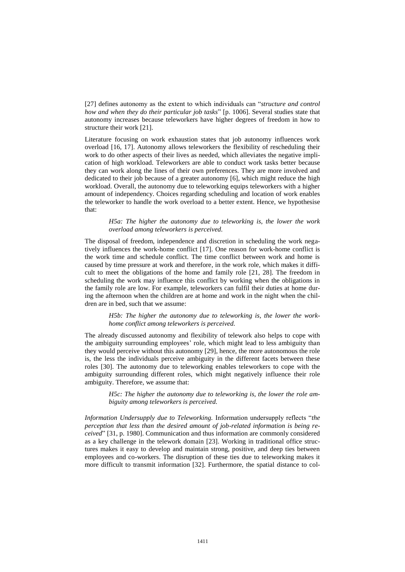[27] defines autonomy as the extent to which individuals can "*structure and control how and when they do their particular job tasks*" [p. 1006]. Several studies state that autonomy increases because teleworkers have higher degrees of freedom in how to structure their work [21].

Literature focusing on work exhaustion states that job autonomy influences work overload [16, 17]. Autonomy allows teleworkers the flexibility of rescheduling their work to do other aspects of their lives as needed, which alleviates the negative implication of high workload. Teleworkers are able to conduct work tasks better because they can work along the lines of their own preferences. They are more involved and dedicated to their job because of a greater autonomy [6], which might reduce the high workload. Overall, the autonomy due to teleworking equips teleworkers with a higher amount of independency. Choices regarding scheduling and location of work enables the teleworker to handle the work overload to a better extent. Hence, we hypothesise that:

> *H5a: The higher the autonomy due to teleworking is, the lower the work overload among teleworkers is perceived.*

The disposal of freedom, independence and discretion in scheduling the work negatively influences the work-home conflict [17]. One reason for work-home conflict is the work time and schedule conflict. The time conflict between work and home is caused by time pressure at work and therefore, in the work role, which makes it difficult to meet the obligations of the home and family role [21, 28]. The freedom in scheduling the work may influence this conflict by working when the obligations in the family role are low. For example, teleworkers can fulfil their duties at home during the afternoon when the children are at home and work in the night when the children are in bed, such that we assume:

> *H5b: The higher the autonomy due to teleworking is, the lower the workhome conflict among teleworkers is perceived.*

The already discussed autonomy and flexibility of telework also helps to cope with the ambiguity surrounding employees' role, which might lead to less ambiguity than they would perceive without this autonomy [29], hence, the more autonomous the role is, the less the individuals perceive ambiguity in the different facets between these roles [30]. The autonomy due to teleworking enables teleworkers to cope with the ambiguity surrounding different roles, which might negatively influence their role ambiguity. Therefore, we assume that:

> *H5c: The higher the autonomy due to teleworking is, the lower the role ambiguity among teleworkers is perceived.*

*Information Undersupply due to Teleworking.* Information undersupply reflects "*the perception that less than the desired amount of job-related information is being received*" [31, p. 1980]. Communication and thus information are commonly considered as a key challenge in the telework domain [23]. Working in traditional office structures makes it easy to develop and maintain strong, positive, and deep ties between employees and co-workers. The disruption of these ties due to teleworking makes it more difficult to transmit information [32]. Furthermore, the spatial distance to col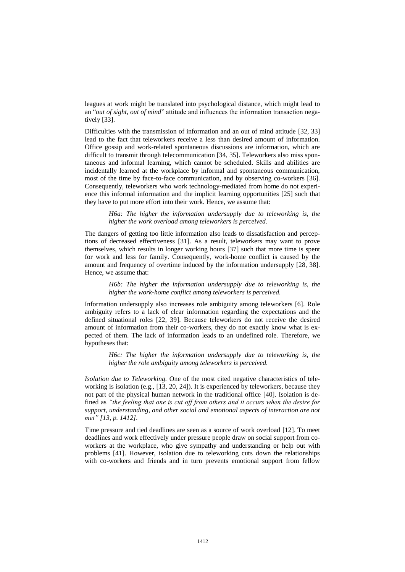leagues at work might be translated into psychological distance, which might lead to an "*out of sight, out of mind*" attitude and influences the information transaction negatively [33].

Difficulties with the transmission of information and an out of mind attitude [32, 33] lead to the fact that teleworkers receive a less than desired amount of information. Office gossip and work-related spontaneous discussions are information, which are difficult to transmit through telecommunication [34, 35]. Teleworkers also miss spontaneous and informal learning, which cannot be scheduled. Skills and abilities are incidentally learned at the workplace by informal and spontaneous communication, most of the time by face-to-face communication, and by observing co-workers [36]. Consequently, teleworkers who work technology-mediated from home do not experience this informal information and the implicit learning opportunities [25] such that they have to put more effort into their work. Hence, we assume that:

> *H6a: The higher the information undersupply due to teleworking is, the higher the work overload among teleworkers is perceived.*

The dangers of getting too little information also leads to dissatisfaction and perceptions of decreased effectiveness [31]. As a result, teleworkers may want to prove themselves, which results in longer working hours [37] such that more time is spent for work and less for family. Consequently, work-home conflict is caused by the amount and frequency of overtime induced by the information undersupply [28, 38]. Hence, we assume that:

> *H6b: The higher the information undersupply due to teleworking is, the higher the work-home conflict among teleworkers is perceived.*

Information undersupply also increases role ambiguity among teleworkers [6]. Role ambiguity refers to a lack of clear information regarding the expectations and the defined situational roles [22, 39]. Because teleworkers do not receive the desired amount of information from their co-workers, they do not exactly know what is expected of them. The lack of information leads to an undefined role. Therefore, we hypotheses that:

*H6c: The higher the information undersupply due to teleworking is, the higher the role ambiguity among teleworkers is perceived.* 

*Isolation due to Teleworking.* One of the most cited negative characteristics of teleworking is isolation (e.g., [13, 20, 24]). It is experienced by teleworkers, because they not part of the physical human network in the traditional office [40]. Isolation is defined as *"the feeling that one is cut off from others and it occurs when the desire for support, understanding, and other social and emotional aspects of interaction are not met" [13, p. 1412].*

Time pressure and tied deadlines are seen as a source of work overload [12]. To meet deadlines and work effectively under pressure people draw on social support from coworkers at the workplace, who give sympathy and understanding or help out with problems [41]. However, isolation due to teleworking cuts down the relationships with co-workers and friends and in turn prevents emotional support from fellow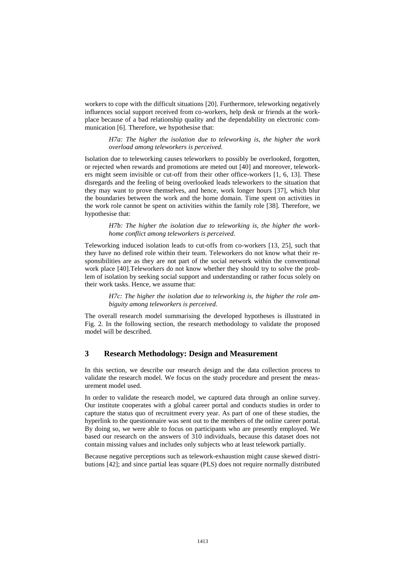workers to cope with the difficult situations [20]. Furthermore, teleworking negatively influences social support received from co-workers, help desk or friends at the workplace because of a bad relationship quality and the dependability on electronic communication [6]. Therefore, we hypothesise that:

> *H7a: The higher the isolation due to teleworking is, the higher the work overload among teleworkers is perceived.*

Isolation due to teleworking causes teleworkers to possibly be overlooked, forgotten, or rejected when rewards and promotions are meted out [40] and moreover, teleworkers might seem invisible or cut-off from their other office-workers [1, 6, 13]. These disregards and the feeling of being overlooked leads teleworkers to the situation that they may want to prove themselves, and hence, work longer hours [37], which blur the boundaries between the work and the home domain. Time spent on activities in the work role cannot be spent on activities within the family role [38]. Therefore, we hypothesise that:

> *H7b: The higher the isolation due to teleworking is, the higher the workhome conflict among teleworkers is perceived.*

Teleworking induced isolation leads to cut-offs from co-workers [13, 25], such that they have no defined role within their team. Teleworkers do not know what their responsibilities are as they are not part of the social network within the conventional work place [40].Teleworkers do not know whether they should try to solve the problem of isolation by seeking social support and understanding or rather focus solely on their work tasks. Hence, we assume that:

> *H7c: The higher the isolation due to teleworking is, the higher the role ambiguity among teleworkers is perceived.*

The overall research model summarising the developed hypotheses is illustrated in [Fig. 2](#page-10-0)*.* In the following section, the research methodology to validate the proposed model will be described.

## **3 Research Methodology: Design and Measurement**

In this section, we describe our research design and the data collection process to validate the research model. We focus on the study procedure and present the measurement model used.

In order to validate the research model, we captured data through an online survey. Our institute cooperates with a global career portal and conducts studies in order to capture the status quo of recruitment every year. As part of one of these studies, the hyperlink to the questionnaire was sent out to the members of the online career portal. By doing so, we were able to focus on participants who are presently employed. We based our research on the answers of 310 individuals, because this dataset does not contain missing values and includes only subjects who at least telework partially.

Because negative perceptions such as telework-exhaustion might cause skewed distributions [42]; and since partial leas square (PLS) does not require normally distributed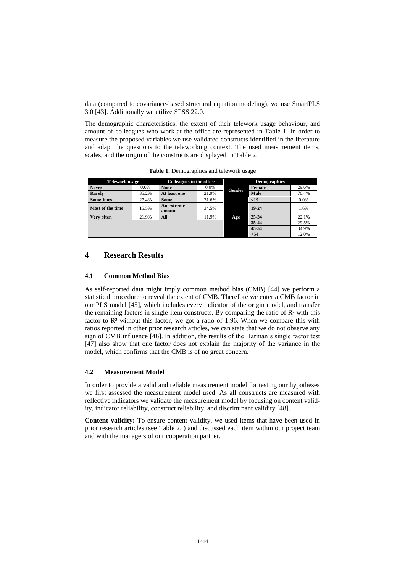data (compared to covariance-based structural equation modeling), we use SmartPLS 3.0 [43]. Additionally we utilize SPSS 22.0.

The demographic characteristics, the extent of their telework usage behaviour, and amount of colleagues who work at the office are represented in [Table 1.](#page-8-0) In order to measure the proposed variables we use validated constructs identified in the literature and adapt the questions to the teleworking context. The used measurement items, scales, and the origin of the constructs are displayed in [Table 2.](#page-9-0)

<span id="page-8-0"></span>

| <b>Telework usage</b> |         | Colleagues in the office |         | <b>Demographics</b> |        |       |  |  |
|-----------------------|---------|--------------------------|---------|---------------------|--------|-------|--|--|
| <b>Never</b>          | $0.0\%$ | <b>None</b>              | $0.0\%$ | Gender              | Female | 29.6% |  |  |
| <b>Rarely</b>         | 35.2%   | At least one             | 21.9%   |                     | Male   | 70.4% |  |  |
| <b>Sometimes</b>      | 27.4%   | Some                     | 31.6%   |                     | $19$   | 0.0%  |  |  |
| Most of the time      | 15.5%   | An extreme<br>amount     | 34.5%   |                     | 19-24  | 1.6%  |  |  |
| Very often            | 21.9%   | All                      | 11.9%   | Age                 | 25-34  | 22.1% |  |  |
|                       |         |                          |         |                     | 35-44  | 29.5% |  |  |
|                       |         |                          |         |                     | 45-54  | 34.9% |  |  |
|                       |         |                          |         |                     | >54    | 12.0% |  |  |

**Table 1.** Demographics and telework usage

## **4 Research Results**

#### **4.1 Common Method Bias**

As self-reported data might imply common method bias (CMB) [44] we perform a statistical procedure to reveal the extent of CMB. Therefore we enter a CMB factor in our PLS model [45], which includes every indicator of the origin model, and transfer the remaining factors in single-item constructs. By comparing the ratio of  $\mathbb{R}^2$  with this factor to  $\mathbb{R}^2$  without this factor, we got a ratio of 1:96. When we compare this with ratios reported in other prior research articles, we can state that we do not observe any sign of CMB influence [46]. In addition, the results of the Harman's single factor test [47] also show that one factor does not explain the majority of the variance in the model, which confirms that the CMB is of no great concern.

#### **4.2 Measurement Model**

In order to provide a valid and reliable measurement model for testing our hypotheses we first assessed the measurement model used. As all constructs are measured with reflective indicators we validate the measurement model by focusing on content validity, indicator reliability, construct reliability, and discriminant validity [48].

**Content validity:** To ensure content validity, we used items that have been used in prior research articles (see [Table 2.](#page-9-0) ) and discussed each item within our project team and with the managers of our cooperation partner.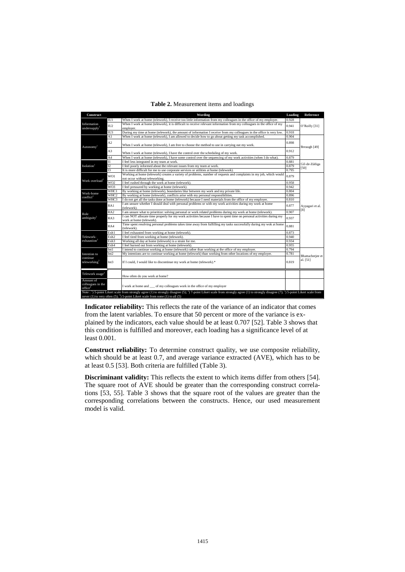<span id="page-9-0"></span>

| Construct                                |                  | Wording                                                                                                                                                                                                                                                                                                            | Loading | Reference                    |  |  |  |  |
|------------------------------------------|------------------|--------------------------------------------------------------------------------------------------------------------------------------------------------------------------------------------------------------------------------------------------------------------------------------------------------------------|---------|------------------------------|--|--|--|--|
| Information<br>undersupply               | $\Pi\Pi$         | When I work at home (telework), I receive too little information from my colleagues in the office of my employer.<br>0.928                                                                                                                                                                                         |         |                              |  |  |  |  |
|                                          | IU <sub>2</sub>  | When I work at home (telework), it is difficult to receive relevant information from my colleagues in the office of my<br>0.941<br>emplover.                                                                                                                                                                       |         |                              |  |  |  |  |
|                                          | IU <sub>3</sub>  | During my time at home (telework), the amount of information I receive from my colleagues in the office is very low.                                                                                                                                                                                               | 0.918   |                              |  |  |  |  |
| Autonomy                                 | A1               | When I work at home (telework), I am allowed to decide how to go about getting my task accomplished.                                                                                                                                                                                                               | 0.904   |                              |  |  |  |  |
|                                          | A <sub>2</sub>   | When I work at home (telework), I am free to choose the method to use in carrying out my work.                                                                                                                                                                                                                     | 0.898   | Breaugh [49]                 |  |  |  |  |
|                                          | A3               | When I work at home (telework), I have the control over the scheduling of my work.                                                                                                                                                                                                                                 | 0.912   |                              |  |  |  |  |
|                                          | A <sub>4</sub>   | When I work at home (telework), I have some control over the sequencing of my work activities (when I do what).                                                                                                                                                                                                    | 0.879   |                              |  |  |  |  |
|                                          | $\overline{11}$  | I feel less integrated in my team at work.                                                                                                                                                                                                                                                                         | 0.881   | Gil-de-Zúñiga                |  |  |  |  |
| Isolation <sup>1</sup>                   | I2               | I feel poorly informed about the relevant issues from my team at work.                                                                                                                                                                                                                                             | 0.879   | [50]                         |  |  |  |  |
|                                          | 13               | It is more difficult for me to use corporate services or utilities at home (telework).                                                                                                                                                                                                                             | 0.795   |                              |  |  |  |  |
| Work overload <sup>2</sup>               | WO1              | Working at home (telework) creates a variety of problems, number of requests and complaints in my job, which would<br>not occur without teleworking.                                                                                                                                                               | 0.879   |                              |  |  |  |  |
|                                          | W <sub>O2</sub>  | I feel rushed through the work at home (telework).                                                                                                                                                                                                                                                                 | 0.958   |                              |  |  |  |  |
|                                          | W <sub>O</sub> 3 | I feel pressured by working at home (telework).                                                                                                                                                                                                                                                                    | 0.942   |                              |  |  |  |  |
| Work-home                                | <b>WHC</b>       | By working at home (telework), boundaries blur between my work and my private life.                                                                                                                                                                                                                                | 0.804   |                              |  |  |  |  |
| conflict <sup>2</sup>                    | WHC <sub>2</sub> | By working at home (telework), conflicts arise with my personal responsibilities.                                                                                                                                                                                                                                  | 0.896   |                              |  |  |  |  |
|                                          | WHC3             | I do not get all the tasks done at home (telework) because I need materials from the office of my employer.                                                                                                                                                                                                        | 0.810   |                              |  |  |  |  |
|                                          | RA1              | I am unsure whether I should deal with personal problems or with my work activities during my work at home<br>(telework).                                                                                                                                                                                          | 0.877   | Ayyagari et al.<br>[8]       |  |  |  |  |
| Role                                     | RA2              | I am unsure what to prioritize: solving personal or work related problems during my work at home (telework).                                                                                                                                                                                                       | 0.907   |                              |  |  |  |  |
| ambiguity <sup>2</sup>                   | RA3              | I can NOT allocate time properly for my work activities because I have to spent time on personal activities during my<br>work at home (telework).                                                                                                                                                                  | 0.937   |                              |  |  |  |  |
|                                          | RA4              | Time spent resolving personal problems takes time away from fulfilling my tasks successfully during my wok at home<br>(telework).                                                                                                                                                                                  | 0.881   |                              |  |  |  |  |
|                                          | Exh1             | I feel exhausted from working at home (telework).                                                                                                                                                                                                                                                                  | 0.873   |                              |  |  |  |  |
| Telework-                                | Exh <sub>2</sub> | I feel tired from working at home (telework).                                                                                                                                                                                                                                                                      | 0.940   |                              |  |  |  |  |
| exhaustion <sup>2</sup>                  | Exh <sub>3</sub> | Working all day at home (telework) is a strain for me.                                                                                                                                                                                                                                                             | 0.934   |                              |  |  |  |  |
|                                          | Exh4             | I feel burned out from working at home (telework).                                                                                                                                                                                                                                                                 | 0.955   |                              |  |  |  |  |
|                                          | Int1             | I intend to continue working at home (telework) rather than working at the office of my employer.                                                                                                                                                                                                                  | 0.794   |                              |  |  |  |  |
| Intention to                             | Int2             | 0.781<br>My intentions are to continue working at home (telework) than working from other locations of my employer.<br>If I could, I would like to discontinue my work at home (telework).*<br>0.819                                                                                                               |         |                              |  |  |  |  |
| continue<br>teleworking <sup>2</sup>     | Int3             |                                                                                                                                                                                                                                                                                                                    |         | Bhattacherjee et<br>al. [51] |  |  |  |  |
| Telework usage <sup>3</sup>              |                  | How often do you work at home?                                                                                                                                                                                                                                                                                     |         |                              |  |  |  |  |
| Amount of<br>colleagues in the<br>office |                  | I work at home and of my colleagues work in the office of my employer                                                                                                                                                                                                                                              |         |                              |  |  |  |  |
|                                          |                  | Note : $\frac{1}{1}$ 5-point Likert scale from strongly agree (1) to strongly disagree (5); $\frac{2}{1}$ 7-point Likert scale from strongly agree (1) to strongly disagree (7); $\frac{3}{1}$ 5-point Likert scale from<br>never (1) to very often (5); $\hat{ }$ ) 5-point Likert scale from none (1) to all (5) |         |                              |  |  |  |  |

| Table 2. Measurement items and loadings |  |  |
|-----------------------------------------|--|--|
|                                         |  |  |

**Indicator reliability:** This reflects the rate of the variance of an indicator that comes from the latent variables. To ensure that 50 percent or more of the variance is explained by the indicators, each value should be at least 0.707 [52][. Table 3](#page-10-1) shows that this condition is fulfilled and moreover, each loading has a significance level of at least 0.001.

**Construct reliability:** To determine construct quality, we use composite reliability, which should be at least 0.7, and average variance extracted (AVE), which has to be at least 0.5 [53]. Both criteria are fulfilled [\(Table 3\)](#page-10-1).

**Discriminant validity:** This reflects the extent to which items differ from others [54]. The square root of AVE should be greater than the corresponding construct correlations [53, 55]. [Table 3](#page-10-1) shows that the square root of the values are greater than the corresponding correlations between the constructs. Hence, our used measurement model is valid.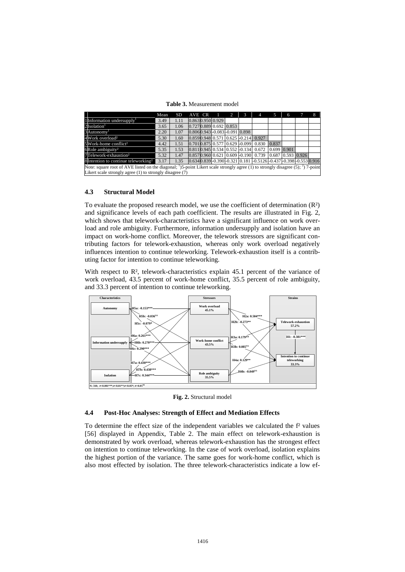**Table 3.** Measurement model

<span id="page-10-1"></span>

|                                                                                                                                                         | Mean | <b>SD</b> | AVE CR |  | $\blacksquare$   | $^{(2)}$                           |  | 4                                                               |       | 6                   | 8 |
|---------------------------------------------------------------------------------------------------------------------------------------------------------|------|-----------|--------|--|------------------|------------------------------------|--|-----------------------------------------------------------------|-------|---------------------|---|
| 1 Information undersupply <sup>1</sup>                                                                                                                  | 3.49 | 1.11      |        |  | 0.8630.950 0.929 |                                    |  |                                                                 |       |                     |   |
| $2$ Isolation <sup>1</sup>                                                                                                                              | 3.65 | 1.06      |        |  |                  | 0.7270.889 0.692 0.853             |  |                                                                 |       |                     |   |
| 3 Autonomy <sup>1</sup>                                                                                                                                 | 2.20 | 1.07      |        |  |                  | $0.8060.943 - 0.083 - 0.091$ 0.898 |  |                                                                 |       |                     |   |
| 4 Work overload <sup>2</sup>                                                                                                                            | 5.30 | 1.60      |        |  |                  |                                    |  | 0.8590.948 0.571 0.625 -0.214 0.927                             |       |                     |   |
| 5Work-home conflict <sup>2</sup>                                                                                                                        | 4.42 | 1.51      |        |  |                  |                                    |  | $0.7010.875$ $0.577$ $0.629$ $-0.099$ $0.830$                   | 0.837 |                     |   |
| $6$ Role ambiguity <sup>2</sup>                                                                                                                         | 5.35 | 1.53      |        |  |                  |                                    |  | $[0.8110.945]$ 0.534 0.552 -0.134 0.672 0.699 0.901             |       |                     |   |
| 7Telework-exhaustion <sup>2</sup>                                                                                                                       | 5.32 | 1.47      |        |  |                  |                                    |  | $0.8570.96000.62100.609 - 0.190000739$                          |       | $0.687$ 0.593 0.926 |   |
| 8Intention to continue teleworking <sup>2</sup>                                                                                                         | 3.17 | 1.35      |        |  |                  |                                    |  | 0.6340.839-0.390-0.321 0.181 -0.5126 -0.437 -0.398 -0.553 0.916 |       |                     |   |
| Note: square root of AVE listed on the diagonal; <sup>1</sup> )5-point Likert scale strongly agree (1) to strongly disagree (5); <sup>2</sup> ) 7-point |      |           |        |  |                  |                                    |  |                                                                 |       |                     |   |
| Likert scale strongly agree $(1)$ to strongly disagree $(7)$                                                                                            |      |           |        |  |                  |                                    |  |                                                                 |       |                     |   |

## **4.3 Structural Model**

To evaluate the proposed research model, we use the coefficient of determination (R²) and significance levels of each path coefficient. The results are illustrated in [Fig. 2,](#page-10-0) which shows that telework-characteristics have a significant influence on work overload and role ambiguity. Furthermore, information undersupply and isolation have an impact on work-home conflict. Moreover, the telework stressors are significant contributing factors for telework-exhaustion, whereas only work overload negatively influences intention to continue teleworking. Telework-exhaustion itself is a contributing factor for intention to continue teleworking.

With respect to R<sup>2</sup>, telework-characteristics explain 45.1 percent of the variance of work overload, 43.5 percent of work-home conflict, 35.5 percent of role ambiguity, and 33.3 percent of intention to continue teleworking.



**Fig. 2.** Structural model

#### <span id="page-10-0"></span>**4.4 Post-Hoc Analyses: Strength of Effect and Mediation Effects**

To determine the effect size of the independent variables we calculated the f² values [56] displayed in Appendix, Table 2. The main effect on telework-exhaustion is demonstrated by work overload, whereas telework-exhaustion has the strongest effect on intention to continue teleworking. In the case of work overload, isolation explains the highest portion of the variance. The same goes for work-home conflict, which is also most effected by isolation. The three telework-characteristics indicate a low ef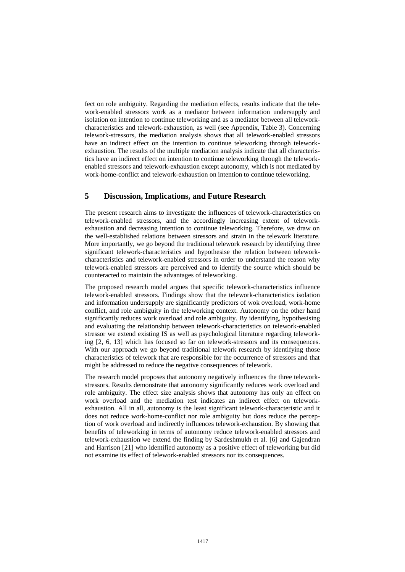fect on role ambiguity. Regarding the mediation effects, results indicate that the telework-enabled stressors work as a mediator between information undersupply and isolation on intention to continue teleworking and as a mediator between all teleworkcharacteristics and telework-exhaustion, as well (see Appendix, Table 3). Concerning telework-stressors, the mediation analysis shows that all telework-enabled stressors have an indirect effect on the intention to continue teleworking through teleworkexhaustion. The results of the multiple mediation analysis indicate that all characteristics have an indirect effect on intention to continue teleworking through the teleworkenabled stressors and telework-exhaustion except autonomy, which is not mediated by work-home-conflict and telework-exhaustion on intention to continue teleworking.

## **5 Discussion, Implications, and Future Research**

The present research aims to investigate the influences of telework-characteristics on telework-enabled stressors, and the accordingly increasing extent of teleworkexhaustion and decreasing intention to continue teleworking. Therefore, we draw on the well-established relations between stressors and strain in the telework literature. More importantly, we go beyond the traditional telework research by identifying three significant telework-characteristics and hypothesise the relation between teleworkcharacteristics and telework-enabled stressors in order to understand the reason why telework-enabled stressors are perceived and to identify the source which should be counteracted to maintain the advantages of teleworking.

The proposed research model argues that specific telework-characteristics influence telework-enabled stressors. Findings show that the telework-characteristics isolation and information undersupply are significantly predictors of wok overload, work-home conflict, and role ambiguity in the teleworking context. Autonomy on the other hand significantly reduces work overload and role ambiguity. By identifying, hypothesising and evaluating the relationship between telework-characteristics on telework-enabled stressor we extend existing IS as well as psychological literature regarding teleworking [2, 6, 13] which has focused so far on telework-stressors and its consequences. With our approach we go beyond traditional telework research by identifying those characteristics of telework that are responsible for the occurrence of stressors and that might be addressed to reduce the negative consequences of telework.

The research model proposes that autonomy negatively influences the three teleworkstressors. Results demonstrate that autonomy significantly reduces work overload and role ambiguity. The effect size analysis shows that autonomy has only an effect on work overload and the mediation test indicates an indirect effect on teleworkexhaustion. All in all, autonomy is the least significant telework-characteristic and it does not reduce work-home-conflict nor role ambiguity but does reduce the perception of work overload and indirectly influences telework-exhaustion. By showing that benefits of teleworking in terms of autonomy reduce telework-enabled stressors and telework-exhaustion we extend the finding by Sardeshmukh et al. [6] and Gajendran and Harrison [21] who identified autonomy as a positive effect of teleworking but did not examine its effect of telework-enabled stressors nor its consequences.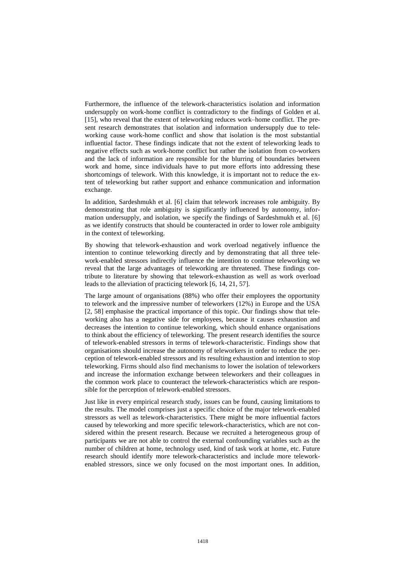Furthermore, the influence of the telework-characteristics isolation and information undersupply on work-home conflict is contradictory to the findings of Golden et al. [15], who reveal that the extent of teleworking reduces work–home conflict. The present research demonstrates that isolation and information undersupply due to teleworking cause work-home conflict and show that isolation is the most substantial influential factor. These findings indicate that not the extent of teleworking leads to negative effects such as work-home conflict but rather the isolation from co-workers and the lack of information are responsible for the blurring of boundaries between work and home, since individuals have to put more efforts into addressing these shortcomings of telework. With this knowledge, it is important not to reduce the extent of teleworking but rather support and enhance communication and information exchange.

In addition, Sardeshmukh et al. [6] claim that telework increases role ambiguity. By demonstrating that role ambiguity is significantly influenced by autonomy, information undersupply, and isolation, we specify the findings of Sardeshmukh et al. [6] as we identify constructs that should be counteracted in order to lower role ambiguity in the context of teleworking.

By showing that telework-exhaustion and work overload negatively influence the intention to continue teleworking directly and by demonstrating that all three telework-enabled stressors indirectly influence the intention to continue teleworking we reveal that the large advantages of teleworking are threatened. These findings contribute to literature by showing that telework-exhaustion as well as work overload leads to the alleviation of practicing telework [6, 14, 21, 57].

The large amount of organisations (88%) who offer their employees the opportunity to telework and the impressive number of teleworkers (12%) in Europe and the USA [2, 58] emphasise the practical importance of this topic. Our findings show that teleworking also has a negative side for employees, because it causes exhaustion and decreases the intention to continue teleworking, which should enhance organisations to think about the efficiency of teleworking. The present research identifies the source of telework-enabled stressors in terms of telework-characteristic. Findings show that organisations should increase the autonomy of teleworkers in order to reduce the perception of telework-enabled stressors and its resulting exhaustion and intention to stop teleworking. Firms should also find mechanisms to lower the isolation of teleworkers and increase the information exchange between teleworkers and their colleagues in the common work place to counteract the telework-characteristics which are responsible for the perception of telework-enabled stressors.

Just like in every empirical research study, issues can be found, causing limitations to the results. The model comprises just a specific choice of the major telework-enabled stressors as well as telework-characteristics. There might be more influential factors caused by teleworking and more specific telework-characteristics, which are not considered within the present research. Because we recruited a heterogeneous group of participants we are not able to control the external confounding variables such as the number of children at home, technology used, kind of task work at home, etc. Future research should identify more telework-characteristics and include more teleworkenabled stressors, since we only focused on the most important ones. In addition,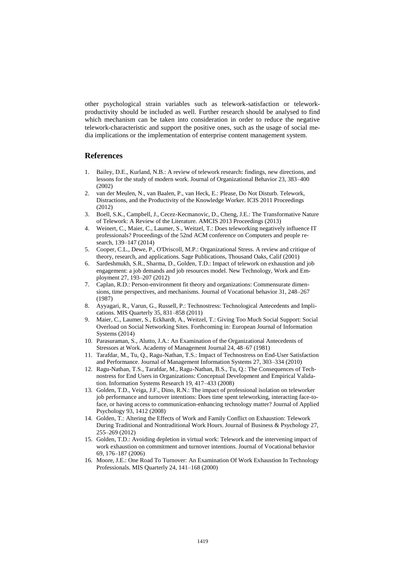other psychological strain variables such as telework-satisfaction or teleworkproductivity should be included as well. Further research should be analysed to find which mechanism can be taken into consideration in order to reduce the negative telework-characteristic and support the positive ones, such as the usage of social media implications or the implementation of enterprise content management system.

## **References**

- 1. Bailey, D.E., Kurland, N.B.: A review of telework research: findings, new directions, and lessons for the study of modern work. Journal of Organizational Behavior 23, 383–400 (2002)
- 2. van der Meulen, N., van Baalen, P., van Heck, E.: Please, Do Not Disturb. Telework, Distractions, and the Productivity of the Knowledge Worker. ICIS 2011 Proceedings (2012)
- 3. Boell, S.K., Campbell, J., Cecez-Kecmanovic, D., Cheng, J.E.: The Transformative Nature of Telework: A Review of the Literature. AMCIS 2013 Proceedings (2013)
- 4. Weinert, C., Maier, C., Laumer, S., Weitzel, T.: Does teleworking negatively influence IT professionals? Proceedings of the 52nd ACM conference on Computers and people research, 139–147 (2014)
- 5. Cooper, C.L., Dewe, P., O'Driscoll, M.P.: Organizational Stress. A review and critique of theory, research, and applications. Sage Publications, Thousand Oaks, Calif (2001)
- 6. Sardeshmukh, S.R., Sharma, D., Golden, T.D.: Impact of telework on exhaustion and job engagement: a job demands and job resources model. New Technology, Work and Employment 27, 193–207 (2012)
- 7. Caplan, R.D.: Person-environment fit theory and organizations: Commensurate dimensions, time perspectives, and mechanisms. Journal of Vocational behavior 31, 248–267 (1987)
- 8. Ayyagari, R., Varun, G., Russell, P.: Technostress: Technological Antecedents and Implications. MIS Quarterly 35, 831–858 (2011)
- 9. Maier, C., Laumer, S., Eckhardt, A., Weitzel, T.: Giving Too Much Social Support: Social Overload on Social Networking Sites. Forthcoming in: European Journal of Information Systems (2014)
- 10. Parasuraman, S., Alutto, J.A.: An Examination of the Organizational Antecedents of Stressors at Work. Academy of Management Journal 24, 48–67 (1981)
- 11. Tarafdar, M., Tu, Q., Ragu-Nathan, T.S.: Impact of Technostress on End-User Satisfaction and Performance. Journal of Management Information Systems 27, 303–334 (2010)
- 12. Ragu-Nathan, T.S., Tarafdar, M., Ragu-Nathan, B.S., Tu, Q.: The Consequences of Technostress for End Users in Organizations: Conceptual Development and Empirical Validation. Information Systems Research 19, 417–433 (2008)
- 13. Golden, T.D., Veiga, J.F., Dino, R.N.: The impact of professional isolation on teleworker job performance and turnover intentions: Does time spent teleworking, interacting face-toface, or having access to communication-enhancing technology matter? Journal of Applied Psychology 93, 1412 (2008)
- 14. Golden, T.: Altering the Effects of Work and Family Conflict on Exhaustion: Telework During Traditional and Nontraditional Work Hours. Journal of Business & Psychology 27, 255–269 (2012)
- 15. Golden, T.D.: Avoiding depletion in virtual work: Telework and the intervening impact of work exhaustion on commitment and turnover intentions. Journal of Vocational behavior 69, 176–187 (2006)
- 16. Moore, J.E.: One Road To Turnover: An Examination Of Work Exhaustion In Technology Professionals. MIS Quarterly 24, 141–168 (2000)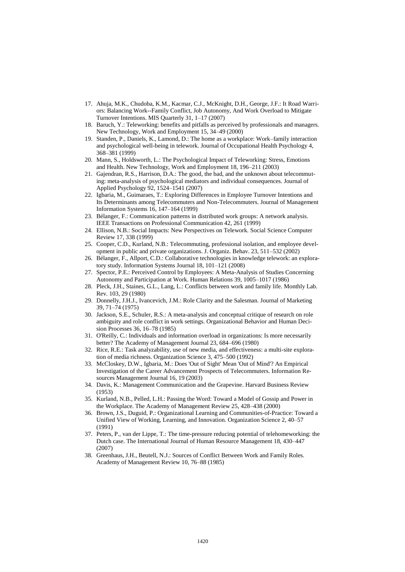- 17. Ahuja, M.K., Chudoba, K.M., Kacmar, C.J., McKnight, D.H., George, J.F.: It Road Warriors: Balancing Work--Family Conflict, Job Autonomy, And Work Overload to Mitigate Turnover Intentions. MIS Quarterly 31, 1–17 (2007)
- 18. Baruch, Y.: Teleworking: benefits and pitfalls as perceived by professionals and managers. New Technology, Work and Employment 15, 34–49 (2000)
- 19. Standen, P., Daniels, K., Lamond, D.: The home as a workplace: Work–family interaction and psychological well-being in telework. Journal of Occupational Health Psychology 4, 368–381 (1999)
- 20. Mann, S., Holdsworth, L.: The Psychological Impact of Teleworking: Stress, Emotions and Health. New Technology, Work and Employment 18, 196–211 (2003)
- 21. Gajendran, R.S., Harrison, D.A.: The good, the bad, and the unknown about telecommuting: meta-analysis of psychological mediators and individual consequences. Journal of Applied Psychology 92, 1524–1541 (2007)
- 22. Igbaria, M., Guimaraes, T.: Exploring Differences in Employee Turnover Intentions and Its Determinants among Telecommuters and Non-Telecommuters. Journal of Management Information Systems 16, 147–164 (1999)
- 23. Bélanger, F.: Communication patterns in distributed work groups: A network analysis. IEEE Transactions on Professional Communication 42, 261 (1999)
- 24. Ellison, N.B.: Social Impacts: New Perspectives on Telework. Social Science Computer Review 17, 338 (1999)
- 25. Cooper, C.D., Kurland, N.B.: Telecommuting, professional isolation, and employee development in public and private organizations. J. Organiz. Behav. 23, 511–532 (2002)
- 26. Bélanger, F., Allport, C.D.: Collaborative technologies in knowledge telework: an exploratory study. Information Systems Journal 18, 101–121 (2008)
- 27. Spector, P.E.: Perceived Control by Employees: A Meta-Analysis of Studies Concerning Autonomy and Participation at Work. Human Relations 39, 1005–1017 (1986)
- 28. Pleck, J.H., Staines, G.L., Lang, L.: Conflicts between work and family life. Monthly Lab. Rev. 103, 29 (1980)
- 29. Donnelly, J.H.J., Ivancevich, J.M.: Role Clarity and the Salesman. Journal of Marketing 39, 71–74 (1975)
- 30. Jackson, S.E., Schuler, R.S.: A meta-analysis and conceptual critique of research on role ambiguity and role conflict in work settings. Organizational Behavior and Human Decision Processes 36, 16–78 (1985)
- 31. O'Reilly, C.: Individuals and information overload in organizations: Is more necessarily better? The Academy of Management Journal 23, 684–696 (1980)
- 32. Rice, R.E.: Task analyzability, use of new media, and effectiveness: a multi-site exploration of media richness. Organization Science 3, 475–500 (1992)
- 33. McCloskey, D.W., Igbaria, M.: Does 'Out of Sight' Mean 'Out of Mind'? An Empirical Investigation of the Career Advancement Prospects of Telecommuters. Information Resources Management Journal 16, 19 (2003)
- 34. Davis, K.: Management Communication and the Grapevine. Harvard Business Review (1953)
- 35. Kurland, N.B., Pelled, L.H.: Passing the Word: Toward a Model of Gossip and Power in the Workplace. The Academy of Management Review 25, 428–438 (2000)
- 36. Brown, J.S., Duguid, P.: Organizational Learning and Communities-of-Practice: Toward a Unified View of Working, Learning, and Innovation. Organization Science 2, 40–57 (1991)
- 37. Peters, P., van der Lippe, T.: The time-pressure reducing potential of telehomeworking: the Dutch case. The International Journal of Human Resource Management 18, 430–447 (2007)
- 38. Greenhaus, J.H., Beutell, N.J.: Sources of Conflict Between Work and Family Roles. Academy of Management Review 10, 76–88 (1985)